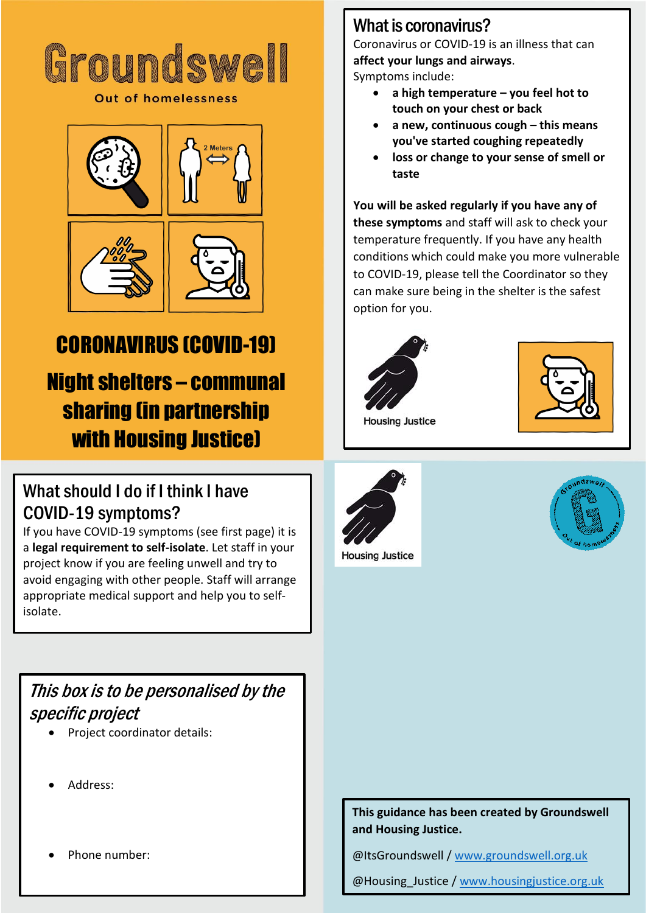

**Out of homelessness** 



# CORONAVIRUS (COVID-19)

Night shelters – communal sharing (in partnership with Housing Justice)

#### What should I do if I think I have COVID-19 symptoms?

If you have COVID-19 symptoms (see first page) it is a **legal requirement to self-isolate**. Let staff in your project know if you are feeling unwell and try to avoid engaging with other people. Staff will arrange appropriate medical support and help you to selfisolate.

#### This box is to be personalised by the specific project

- Project coordinator details:
- Address:
- Phone number:

#### What is coronavirus?

Coronavirus or COVID-19 is an illness that can **affect your lungs and airways**.

Symptoms include:

- **a high temperature – you feel hot to touch on your chest or back**
- **a new, continuous cough – this means you've started coughing repeatedly**
- **loss or change to your sense of smell or taste**

**You will be asked regularly if you have any of these symptoms** and staff will ask to check your temperature frequently. If you have any health conditions which could make you more vulnerable to COVID-19, please tell the Coordinator so they can make sure being in the shelter is the safest option for you.







**Housing Justice** 



#### **This guidance has been created by Groundswell and Housing Justice.**

@ItsGroundswell / [www.groundswell.org.uk](http://www.groundswell.org.uk/)

@Housing\_Justice [/ www.housingjustice.org.uk](http://www.housingjustice.org.uk/)